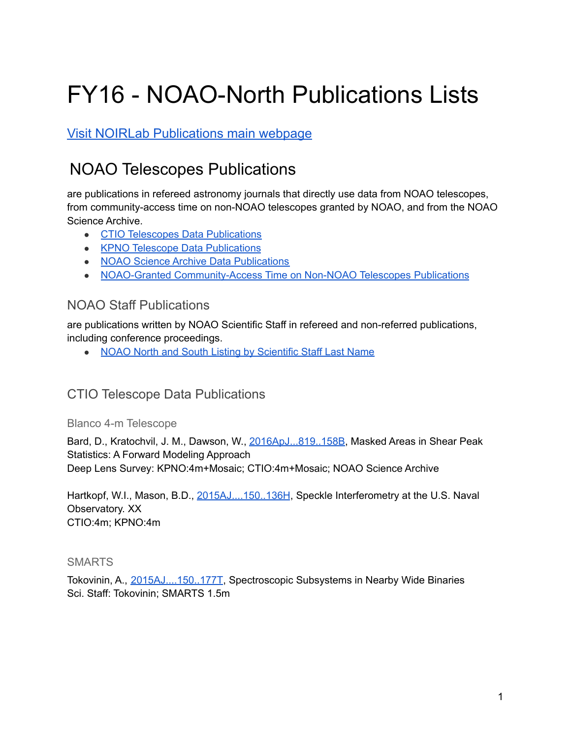# FY16 - NOAO-North Publications Lists

Visit NOIRLab [Publications](https://noirlab.edu/science/library/publications) main webpage

# NOAO Telescopes Publications

are publications in refereed astronomy journals that directly use data from NOAO telescopes, from community-access time on non-NOAO telescopes granted by NOAO, and from the NOAO Science Archive.

- CTIO Telescopes Data [Publications](#page-0-0)
- KPNO Telescope Data [Publications](#page-1-0)
- NOAO Science Archive Data [Publications](#page-6-0)
- NOAO-Granted [Community-Access](#page-6-1) Time on Non-NOAO Telescopes Publications

## NOAO Staff Publications

are publications written by NOAO Scientific Staff in refereed and non-referred publications, including conference proceedings.

• NOAO North and South Listing by [Scientific](https://noirlab.edu/science/library/publications/fy16#Staff) Staff Last Name

# <span id="page-0-0"></span>CTIO Telescope Data Publications

Blanco 4-m Telescope

Bard, D., Kratochvil, J. M., Dawson, W., [2016ApJ...819..158B](http://adsabs.harvard.edu/abs/2016ApJ...819..158B), Masked Areas in Shear Peak Statistics: A Forward Modeling Approach Deep Lens Survey: KPNO:4m+Mosaic; CTIO:4m+Mosaic; NOAO Science Archive

Hartkopf, W.I., Mason, B.D., [2015AJ....150..136H](http://adsabs.harvard.edu/abs/2015AJ....150..136H), Speckle Interferometry at the U.S. Naval Observatory. XX CTIO:4m; KPNO:4m

#### SMARTS

Tokovinin, A., [2015AJ....150..177T](http://adsabs.harvard.edu/abs/2015AJ....150..177T), Spectroscopic Subsystems in Nearby Wide Binaries Sci. Staff: Tokovinin; SMARTS 1.5m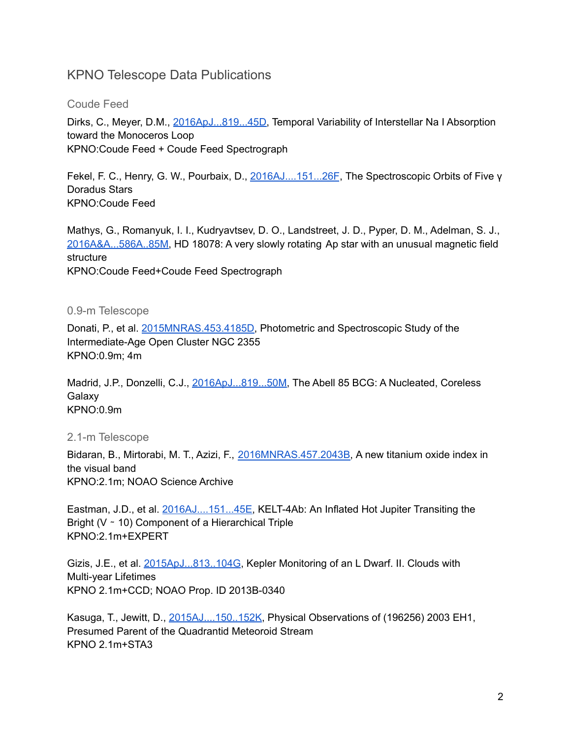# <span id="page-1-0"></span>KPNO Telescope Data Publications

#### Coude Feed

Dirks, C., Meyer, D.M., [2016ApJ...819...45D,](http://adsabs.harvard.edu/abs/2016ApJ...819...45D) Temporal Variability of Interstellar Na I Absorption toward the Monoceros Loop KPNO:Coude Feed + Coude Feed Spectrograph

Fekel, F. C., Henry, G. W., Pourbaix, D., [2016AJ....151...26F](http://adsabs.harvard.edu/abs/2016AJ....151...26F), The Spectroscopic Orbits of Five γ Doradus Stars KPNO:Coude Feed

Mathys, G., Romanyuk, I. I., Kudryavtsev, D. O., Landstreet, J. D., Pyper, D. M., Adelman, S. J., [2016A&A...586A..85M,](http://adsabs.harvard.edu/abs/2016A%26A...586A..85M) HD 18078: A very slowly rotating Ap star with an unusual magnetic field structure

KPNO:Coude Feed+Coude Feed Spectrograph

#### 0.9-m Telescope

Donati, P., et al. [2015MNRAS.453.4185D,](http://adsabs.harvard.edu/abs/2015MNRAS.453.4185D) Photometric and Spectroscopic Study of the Intermediate-Age Open Cluster NGC 2355 KPNO:0.9m; 4m

Madrid, J.P., Donzelli, C.J., [2016ApJ...819...50M,](http://adsabs.harvard.edu/abs/2016ApJ...819...50M) The Abell 85 BCG: A Nucleated, Coreless Galaxy KPNO:0.9m

2.1-m Telescope

Bidaran, B., Mirtorabi, M. T., Azizi, F., [2016MNRAS.457.2043B,](http://adsabs.harvard.edu/abs/2016MNRAS.457.2043B) A new titanium oxide index in the visual band KPNO:2.1m; NOAO Science Archive

Eastman, J.D., et al. [2016AJ....151...45E,](http://adsabs.harvard.edu/abs/2016AJ....151...45E) KELT-4Ab: An Inflated Hot Jupiter Transiting the Bright (V ∼ 10) Component of a Hierarchical Triple KPNO:2.1m+EXPERT

Gizis, J.E., et al. [2015ApJ...813..104G](http://adsabs.harvard.edu/abs/2015ApJ...813..104G), Kepler Monitoring of an L Dwarf. II. Clouds with Multi-year Lifetimes KPNO 2.1m+CCD; NOAO Prop. ID 2013B-0340

Kasuga, T., Jewitt, D., [2015AJ....150..152K,](http://adsabs.harvard.edu/abs/2015AJ....150..152K) Physical Observations of (196256) 2003 EH1, Presumed Parent of the Quadrantid Meteoroid Stream KPNO 2.1m+STA3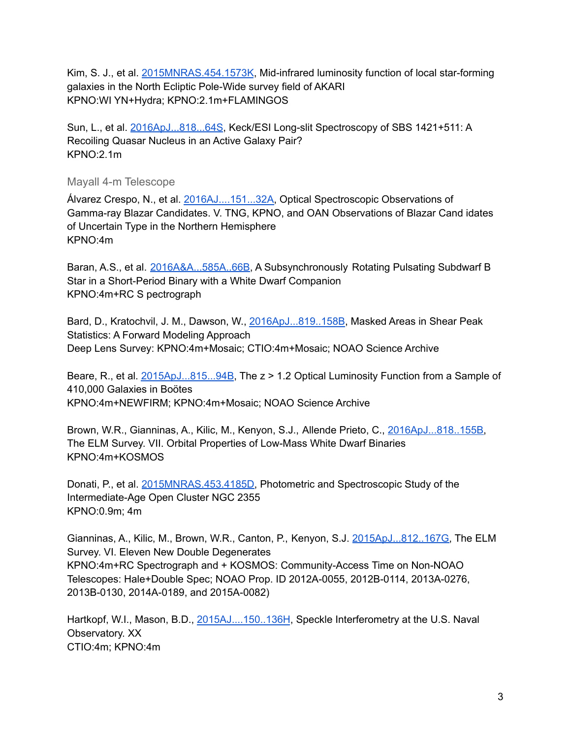Kim, S. J., et al. [2015MNRAS.454.1573K](http://adsabs.harvard.edu/abs/2015MNRAS.454.1573K), Mid-infrared luminosity function of local star-forming galaxies in the North Ecliptic Pole-Wide survey field of AKARI KPNO:WI YN+Hydra; KPNO:2.1m+FLAMINGOS

Sun, L., et al. [2016ApJ...818...64S](http://adsabs.harvard.edu/abs/2016ApJ...818...64S), Keck/ESI Long-slit Spectroscopy of SBS 1421+511: A Recoiling Quasar Nucleus in an Active Galaxy Pair? KPNO:2.1m

#### Mayall 4-m Telescope

Álvarez Crespo, N., et al. [2016AJ....151...32A,](http://adsabs.harvard.edu/abs/2016AJ....151...32A) Optical Spectroscopic Observations of Gamma-ray Blazar Candidates. V. TNG, KPNO, and OAN Observations of Blazar Cand idates of Uncertain Type in the Northern Hemisphere KPNO:4m

Baran, A.S., et al. [2016A&A...585A..66B](http://adsabs.harvard.edu/abs/2016A%26A...585A..66B), A Subsynchronously Rotating Pulsating Subdwarf B Star in a Short-Period Binary with a White Dwarf Companion KPNO:4m+RC S pectrograph

Bard, D., Kratochvil, J. M., Dawson, W., [2016ApJ...819..158B](http://adsabs.harvard.edu/abs/2016ApJ...819..158B), Masked Areas in Shear Peak Statistics: A Forward Modeling Approach Deep Lens Survey: KPNO:4m+Mosaic; CTIO:4m+Mosaic; NOAO Science Archive

Beare, R., et al. [2015ApJ...815...94B](http://adsabs.harvard.edu/abs/2015ApJ...815...94B), The z > 1.2 Optical Luminosity Function from a Sample of 410,000 Galaxies in Boötes KPNO:4m+NEWFIRM; KPNO:4m+Mosaic; NOAO Science Archive

Brown, W.R., Gianninas, A., Kilic, M., Kenyon, S.J., Allende Prieto, C., [2016ApJ...818..155B,](http://adsabs.harvard.edu/abs/2016ApJ...818..155B) The ELM Survey. VII. Orbital Properties of Low-Mass White Dwarf Binaries KPNO:4m+KOSMOS

Donati, P., et al. [2015MNRAS.453.4185D,](http://adsabs.harvard.edu/abs/2015MNRAS.453.4185D) Photometric and Spectroscopic Study of the Intermediate-Age Open Cluster NGC 2355 KPNO:0.9m; 4m

Gianninas, A., Kilic, M., Brown, W.R., Canton, P., Kenyon, S.J. [2015ApJ...812..167G,](http://adsabs.harvard.edu/abs/2015ApJ...812..167G) The ELM Survey. VI. Eleven New Double Degenerates KPNO:4m+RC Spectrograph and + KOSMOS: Community-Access Time on Non-NOAO Telescopes: Hale+Double Spec; NOAO Prop. ID 2012A-0055, 2012B-0114, 2013A-0276, 2013B-0130, 2014A-0189, and 2015A-0082)

Hartkopf, W.I., Mason, B.D., [2015AJ....150..136H](http://adsabs.harvard.edu/abs/2015AJ....150..136H), Speckle Interferometry at the U.S. Naval Observatory. XX CTIO:4m; KPNO:4m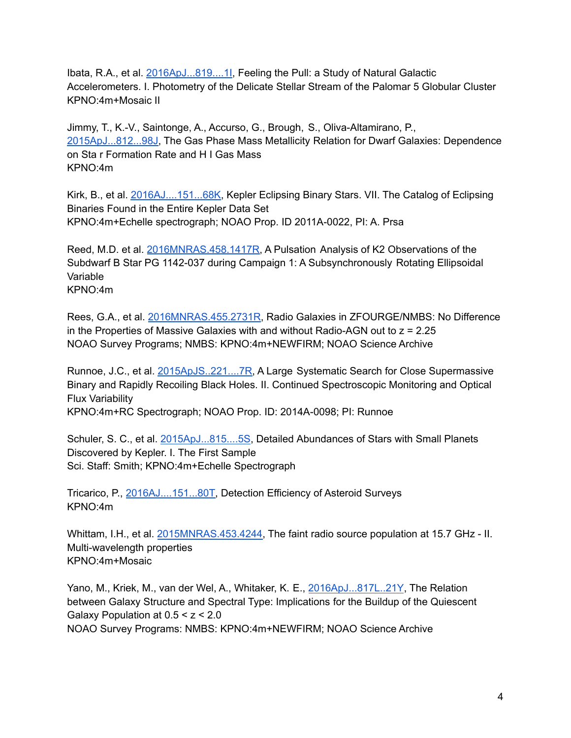Ibata, R.A., et al. [2016ApJ...819....1I](http://adsabs.harvard.edu/abs/2016ApJ...819....1I), Feeling the Pull: a Study of Natural Galactic Accelerometers. I. Photometry of the Delicate Stellar Stream of the Palomar 5 Globular Cluster KPNO:4m+Mosaic II

Jimmy, T., K.-V., Saintonge, A., Accurso, G., Brough, S., Oliva-Altamirano, P., [2015ApJ...812...98J,](http://adsabs.harvard.edu/abs/2015ApJ...812...98J) The Gas Phase Mass Metallicity Relation for Dwarf Galaxies: Dependence on Sta r Formation Rate and H I Gas Mass KPNO:4m

Kirk, B., et al. [2016AJ....151...68K,](http://adsabs.harvard.edu/abs/2016AJ....151...68K) Kepler Eclipsing Binary Stars. VII. The Catalog of Eclipsing Binaries Found in the Entire Kepler Data Set KPNO:4m+Echelle spectrograph; NOAO Prop. ID 2011A-0022, PI: A. Prsa

Reed, M.D. et al. [2016MNRAS.458.1417R,](http://adsabs.harvard.edu/abs/2016MNRAS.458.1417R) A Pulsation Analysis of K2 Observations of the Subdwarf B Star PG 1142-037 during Campaign 1: A Subsynchronously Rotating Ellipsoidal Variable KPNO:4m

Rees, G.A., et al. [2016MNRAS.455.2731R,](https://www.noao.edu/noao/library/NOAO_Publications_FY16.html) Radio Galaxies in ZFOURGE/NMBS: No Difference in the Properties of Massive Galaxies with and without Radio-AGN out to  $z = 2.25$ NOAO Survey Programs; NMBS: KPNO:4m+NEWFIRM; NOAO Science Archive

Runnoe, J.C., et al. [2015ApJS..221....7R,](http://adsabs.harvard.edu/abs/2015ApJS..221....7R) A Large Systematic Search for Close Supermassive Binary and Rapidly Recoiling Black Holes. II. Continued Spectroscopic Monitoring and Optical Flux Variability KPNO:4m+RC Spectrograph; NOAO Prop. ID: 2014A-0098; PI: Runnoe

Schuler, S. C., et al. [2015ApJ...815....5S,](http://adsabs.harvard.edu/abs/2015ApJ...815....5S) Detailed Abundances of Stars with Small Planets Discovered by Kepler. I. The First Sample Sci. Staff: Smith; KPNO:4m+Echelle Spectrograph

Tricarico, P., [2016AJ....151...80T,](http://adsabs.harvard.edu/abs/2016AJ....151...80T) Detection Efficiency of Asteroid Surveys KPNO:4m

Whittam, I.H., et al. [2015MNRAS.453.4244,](http://adsabs.harvard.edu/abs/2015MNRAS.453.4244W) The faint radio source population at 15.7 GHz - II. Multi-wavelength properties KPNO:4m+Mosaic

Yano, M., Kriek, M., van der Wel, A., Whitaker, K. E., [2016ApJ...817L..21Y](http://adsabs.harvard.edu/abs/2016ApJ...817L..21Y), The Relation between Galaxy Structure and Spectral Type: Implications for the Buildup of the Quiescent Galaxy Population at  $0.5 < z < 2.0$ NOAO Survey Programs: NMBS: KPNO:4m+NEWFIRM; NOAO Science Archive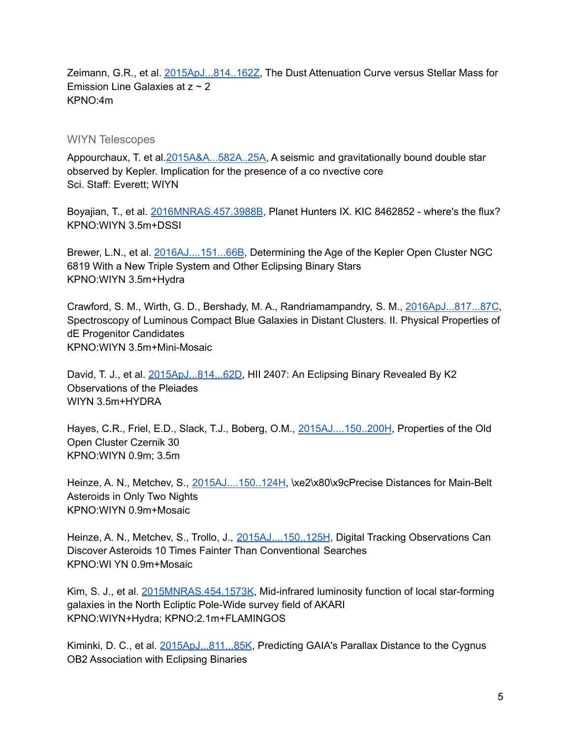Zeimann, G.R., et al. [2015ApJ...814..162Z,](http://adsabs.harvard.edu/abs/2015ApJ...814..162Z) The Dust Attenuation Curve versus Stellar Mass for Emission Line Galaxies at  $z \sim 2$ KPNO:4m

#### WIYN Telescopes

Appourchaux, T. et al. 2015A&A...582A..25A, A seismic and gravitationally bound double star observed by Kepler. Implication for the presence of a co nvective core Sci. Staff: Everett; WIYN

Boyajian, T., et al. [2016MNRAS.457.3988B](http://adsabs.harvard.edu/abs/2016MNRAS.457.3988B), Planet Hunters IX. KIC 8462852 - where's the flux? KPNO:WIYN 3.5m+DSSI

Brewer, L.N., et al. [2016AJ....151...66B](http://adsabs.harvard.edu/abs/2016AJ....151...66B), Determining the Age of the Kepler Open Cluster NGC 6819 With a New Triple System and Other Eclipsing Binary Stars KPNO:WIYN 3.5m+Hydra

Crawford, S. M., Wirth, G. D., Bershady, M. A., Randriamampandry, S. M., [2016ApJ...817...87C](http://adsabs.harvard.edu/abs/2016ApJ...817...87C), Spectroscopy of Luminous Compact Blue Galaxies in Distant Clusters. II. Physical Properties of dE Progenitor Candidates KPNO:WIYN 3.5m+Mini-Mosaic

David, T. J., et al. [2015ApJ...814...62D,](http://adsabs.harvard.edu/abs/2015ApJ...814...62D) HII 2407: An Eclipsing Binary Revealed By K2 Observations of the Pleiades WIYN 3.5m+HYDRA

Hayes, C.R., Friel, E.D., Slack, T.J., Boberg, O.M., [2015AJ....150..200H](http://adsabs.harvard.edu/abs/2015AJ....150..200H), Properties of the Old Open Cluster Czernik 30 KPNO:WIYN 0.9m; 3.5m

Heinze, A. N., Metchev, S., [2015AJ....150..124H](http://adsabs.harvard.edu/abs/2015AJ....150..124H), \xe2\x80\x9cPrecise Distances for Main-Belt Asteroids in Only Two Nights KPNO:WIYN 0.9m+Mosaic

Heinze, A. N., Metchev, S., Trollo, J., [2015AJ....150..125H](http://adsabs.harvard.edu/abs/2015AJ....150..125H), Digital Tracking Observations Can Discover Asteroids 10 Times Fainter Than Conventional Searches KPNO:WI YN 0.9m+Mosaic

Kim, S. J., et al. [2015MNRAS.454.1573K](http://adsabs.harvard.edu/abs/2015MNRAS.454.1573K), Mid-infrared luminosity function of local star-forming galaxies in the North Ecliptic Pole-Wide survey field of AKARI KPNO:WIYN+Hydra; KPNO:2.1m+FLAMINGOS

Kiminki, D. C., et al. [2015ApJ...811...85K](http://adsabs.harvard.edu/abs/2015ApJ...811...85K), Predicting GAIA's Parallax Distance to the Cygnus OB2 Association with Eclipsing Binaries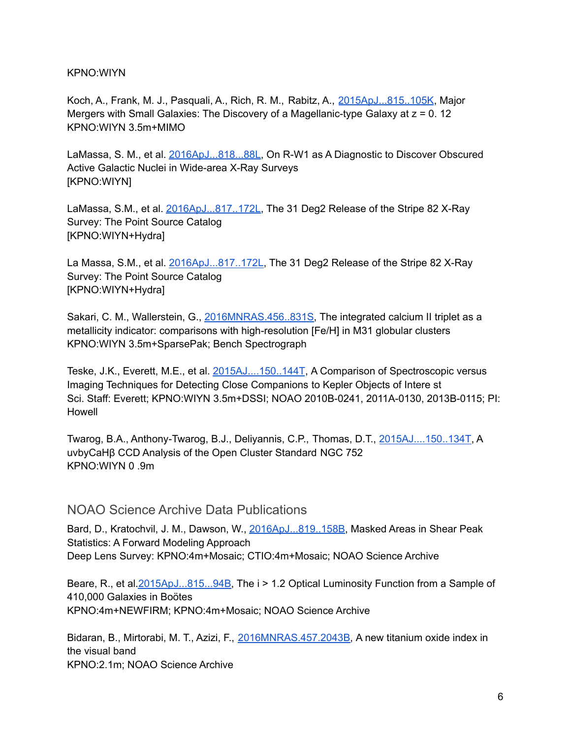#### KPNO:WIYN

Koch, A., Frank, M. J., Pasquali, A., Rich, R. M., Rabitz, A., [2015ApJ...815..105K](http://adsabs.harvard.edu/abs/2015ApJ...815..105K), Major Mergers with Small Galaxies: The Discovery of a Magellanic-type Galaxy at z = 0. 12 KPNO:WIYN 3.5m+MIMO

LaMassa, S. M., et al. [2016ApJ...818...88L,](http://adsabs.harvard.edu/abs/2016ApJ...818...88L) On R-W1 as A Diagnostic to Discover Obscured Active Galactic Nuclei in Wide-area X-Ray Surveys [KPNO:WIYN]

LaMassa, S.M., et al. [2016ApJ...817..172L,](http://adsabs.harvard.edu/abs/2016ApJ...817..172L) The 31 Deg2 Release of the Stripe 82 X-Ray Survey: The Point Source Catalog [KPNO:WIYN+Hydra]

La Massa, S.M., et al. [2016ApJ...817..172L,](http://adsabs.harvard.edu/abs/2016ApJ...817..172L) The 31 Deg2 Release of the Stripe 82 X-Ray Survey: The Point Source Catalog [KPNO:WIYN+Hydra]

Sakari, C. M., Wallerstein, G., [2016MNRAS.456..831S,](http://adsabs.harvard.edu/abs/2016MNRAS.456..831S) The integrated calcium II triplet as a metallicity indicator: comparisons with high-resolution [Fe/H] in M31 globular clusters KPNO:WIYN 3.5m+SparsePak; Bench Spectrograph

Teske, J.K., Everett, M.E., et al. [2015AJ....150..144T](http://adsabs.harvard.edu/abs/2015AJ....150..144T), A Comparison of Spectroscopic versus Imaging Techniques for Detecting Close Companions to Kepler Objects of Intere st Sci. Staff: Everett; KPNO:WIYN 3.5m+DSSI; NOAO 2010B-0241, 2011A-0130, 2013B-0115; PI: Howell

Twarog, B.A., Anthony-Twarog, B.J., Deliyannis, C.P., Thomas, D.T., [2015AJ....150..134T,](http://adsabs.harvard.edu/abs/2015AJ....150..134T) A uvbyCaHβ CCD Analysis of the Open Cluster Standard NGC 752 KPNO:WIYN 0 .9m

#### NOAO Science Archive Data Publications

Bard, D., Kratochvil, J. M., Dawson, W., [2016ApJ...819..158B](http://adsabs.harvard.edu/abs/2016ApJ...819..158B), Masked Areas in Shear Peak Statistics: A Forward Modeling Approach Deep Lens Survey: KPNO:4m+Mosaic; CTIO:4m+Mosaic; NOAO Science Archive

Beare, R., et al. 2015ApJ...815...94B, The i > 1.2 Optical Luminosity Function from a Sample of 410,000 Galaxies in Boӧtes KPNO:4m+NEWFIRM; KPNO:4m+Mosaic; NOAO Science Archive

Bidaran, B., Mirtorabi, M. T., Azizi, F., [2016MNRAS.457.2043B,](http://adsabs.harvard.edu/abs/2016MNRAS.457.2043B) A new titanium oxide index in the visual band KPNO:2.1m; NOAO Science Archive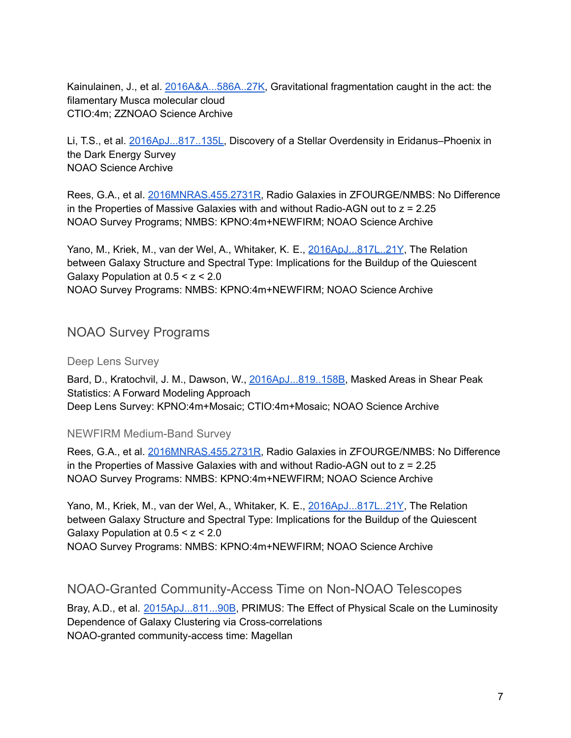Kainulainen, J., et al. [2016A&A...586A..27K](http://adsabs.harvard.edu/abs/2016A%26A...586A..27K), Gravitational fragmentation caught in the act: the filamentary Musca molecular cloud CTIO:4m; ZZNOAO Science Archive

Li, T.S., et al. [2016ApJ...817..135L](http://adsabs.harvard.edu/abs/2016ApJ...817..135L), Discovery of a Stellar Overdensity in Eridanus–Phoenix in the Dark Energy Survey NOAO Science Archive

Rees, G.A., et al. [2016MNRAS.455.2731R,](https://www.noao.edu/noao/library/NOAO_Publications_FY16.html) Radio Galaxies in ZFOURGE/NMBS: No Difference in the Properties of Massive Galaxies with and without Radio-AGN out to  $z = 2.25$ NOAO Survey Programs; NMBS: KPNO:4m+NEWFIRM; NOAO Science Archive

Yano, M., Kriek, M., van der Wel, A., Whitaker, K. E., [2016ApJ...817L..21Y](http://adsabs.harvard.edu/abs/2016ApJ...817L..21Y), The Relation between Galaxy Structure and Spectral Type: Implications for the Buildup of the Quiescent Galaxy Population at  $0.5 < z < 2.0$ NOAO Survey Programs: NMBS: KPNO:4m+NEWFIRM; NOAO Science Archive

# <span id="page-6-0"></span>NOAO Survey Programs

#### Deep Lens Survey

Bard, D., Kratochvil, J. M., Dawson, W., [2016ApJ...819..158B](http://adsabs.harvard.edu/abs/2016ApJ...819..158B), Masked Areas in Shear Peak Statistics: A Forward Modeling Approach Deep Lens Survey: KPNO:4m+Mosaic; CTIO:4m+Mosaic; NOAO Science Archive

#### NEWFIRM Medium-Band Survey

Rees, G.A., et al. [2016MNRAS.455.2731R,](https://www.noao.edu/noao/library/NOAO_Publications_FY16.html) Radio Galaxies in ZFOURGE/NMBS: No Difference in the Properties of Massive Galaxies with and without Radio-AGN out to  $z = 2.25$ NOAO Survey Programs: NMBS: KPNO:4m+NEWFIRM; NOAO Science Archive

Yano, M., Kriek, M., van der Wel, A., Whitaker, K. E., [2016ApJ...817L..21Y](http://adsabs.harvard.edu/abs/2016ApJ...817L..21Y), The Relation between Galaxy Structure and Spectral Type: Implications for the Buildup of the Quiescent Galaxy Population at  $0.5 < z < 2.0$ NOAO Survey Programs: NMBS: KPNO:4m+NEWFIRM; NOAO Science Archive

### <span id="page-6-1"></span>NOAO-Granted Community-Access Time on Non-NOAO Telescopes

Bray, A.D., et al. [2015ApJ...811...90B](http://adsabs.harvard.edu/abs/2015ApJ...811...90B), PRIMUS: The Effect of Physical Scale on the Luminosity Dependence of Galaxy Clustering via Cross-correlations NOAO-granted community-access time: Magellan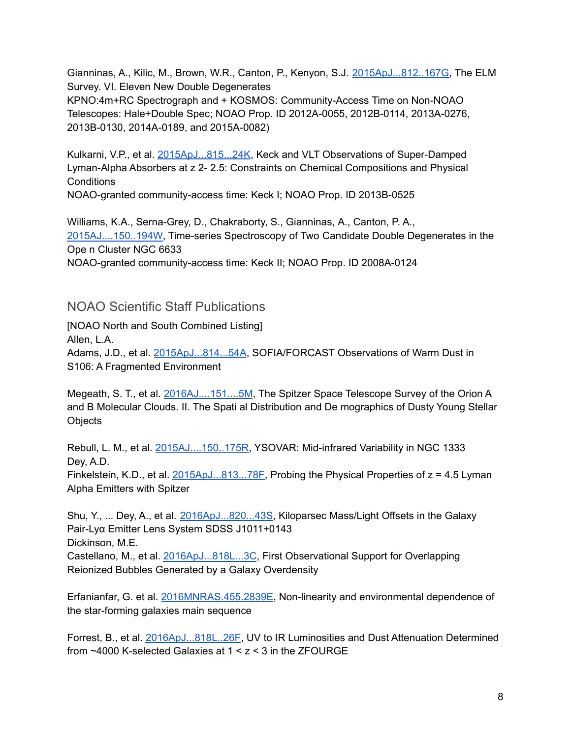Gianninas, A., Kilic, M., Brown, W.R., Canton, P., Kenyon, S.J. [2015ApJ...812..167G,](http://adsabs.harvard.edu/abs/2015ApJ...812..167G) The ELM Survey. VI. Eleven New Double Degenerates

KPNO:4m+RC Spectrograph and + KOSMOS: Community-Access Time on Non-NOAO Telescopes: Hale+Double Spec; NOAO Prop. ID 2012A-0055, 2012B-0114, 2013A-0276, 2013B-0130, 2014A-0189, and 2015A-0082)

Kulkarni, V.P., et al. [2015ApJ...815...24K,](http://adsabs.harvard.edu/abs/2015ApJ...815...24K) Keck and VLT Observations of Super-Damped Lyman-Alpha Absorbers at z 2- 2.5: Constraints on Chemical Compositions and Physical **Conditions** 

NOAO-granted community-access time: Keck I; NOAO Prop. ID 2013B-0525

Williams, K.A., Serna-Grey, D., Chakraborty, S., Gianninas, A., Canton, P. A., [2015AJ....150..194W,](http://adsabs.harvard.edu/abs/2015AJ....150..194W) Time-series Spectroscopy of Two Candidate Double Degenerates in the Ope n Cluster NGC 6633 NOAO-granted community-access time: Keck II; NOAO Prop. ID 2008A-0124

NOAO Scientific Staff Publications

[NOAO North and South Combined Listing] Allen, L.A. Adams, J.D., et al. [2015ApJ...814...54A](http://adsabs.harvard.edu/abs/2015ApJ...814...54A), SOFIA/FORCAST Observations of Warm Dust in S106: A Fragmented Environment

Megeath, S. T., et al. [2016AJ....151....5M](http://adsabs.harvard.edu/abs/2016AJ....151....5M), The Spitzer Space Telescope Survey of the Orion A and B Molecular Clouds. II. The Spati al Distribution and De mographics of Dusty Young Stellar **Objects** 

Rebull, L. M., et al. [2015AJ....150..175R,](http://adsabs.harvard.edu/abs/2015AJ....150..175R) YSOVAR: Mid-infrared Variability in NGC 1333 Dey, A.D.

Finkelstein, K.D., et al.  $2015ApJ...813...78E$ , Probing the Physical Properties of  $z = 4.5$  Lyman Alpha Emitters with Spitzer

Shu, Y., ... Dey, A., et al. [2016ApJ...820...43S,](http://adsabs.harvard.edu/abs/2016ApJ...820...43S) Kiloparsec Mass/Light Offsets in the Galaxy Pair-Lyα Emitter Lens System SDSS J1011+0143 Dickinson, M.E. Castellano, M., et al. [2016ApJ...818L...3C](http://adsabs.harvard.edu/abs/2016ApJ...818L...3C), First Observational Support for Overlapping

Reionized Bubbles Generated by a Galaxy Overdensity

Erfanianfar, G. et al. [2016MNRAS.455.2839E](http://adsabs.harvard.edu/abs/2016MNRAS.455.2839E), Non-linearity and environmental dependence of the star-forming galaxies main sequence

Forrest, B., et al. [2016ApJ...818L..26F](http://adsabs.harvard.edu/abs/2016ApJ...818L..26F), UV to IR Luminosities and Dust Attenuation Determined from ~4000 K-selected Galaxies at 1 < z < 3 in the ZFOURGE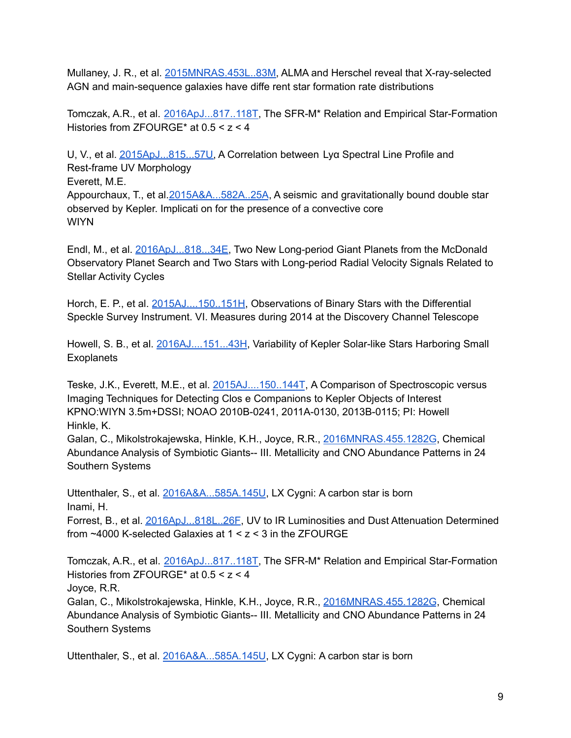Mullaney, J. R., et al. [2015MNRAS.453L..83M](http://adsabs.harvard.edu/abs/2015MNRAS.453L..83M), ALMA and Herschel reveal that X-ray-selected AGN and main-sequence galaxies have diffe rent star formation rate distributions

Tomczak, A.R., et al. [2016ApJ...817..118T](http://adsabs.harvard.edu/abs/2016ApJ...817..118T), The SFR-M\* Relation and Empirical Star-Formation Histories from ZFOURGE\* at 0.5 < z < 4

U, V., et al. [2015ApJ...815...57U,](http://adsabs.harvard.edu/abs/2015ApJ...815...57U) A Correlation between Lyα Spectral Line Profile and Rest-frame UV Morphology

Everett, M.E.

Appourchaux, T., et al. 2015A&A...582A..25A, A seismic and gravitationally bound double star observed by Kepler. Implicati on for the presence of a convective core **WIYN** 

Endl, M., et al. [2016ApJ...818...34E,](http://adsabs.harvard.edu/abs/2016ApJ...818...34E) Two New Long-period Giant Planets from the McDonald Observatory Planet Search and Two Stars with Long-period Radial Velocity Signals Related to Stellar Activity Cycles

Horch, E. P., et al. [2015AJ....150..151H](http://adsabs.harvard.edu/abs/2015AJ....150..151H), Observations of Binary Stars with the Differential Speckle Survey Instrument. VI. Measures during 2014 at the Discovery Channel Telescope

Howell, S. B., et al. [2016AJ....151...43H](http://adsabs.harvard.edu/abs/2016AJ....151...43H), Variability of Kepler Solar-like Stars Harboring Small **Exoplanets** 

Teske, J.K., Everett, M.E., et al. [2015AJ....150..144T](http://adsabs.harvard.edu/abs/2015AJ....150..144T), A Comparison of Spectroscopic versus Imaging Techniques for Detecting Clos e Companions to Kepler Objects of Interest KPNO:WIYN 3.5m+DSSI; NOAO 2010B-0241, 2011A-0130, 2013B-0115; PI: Howell Hinkle, K.

Galan, C., Mikolstrokajewska, Hinkle, K.H., Joyce, R.R., [2016MNRAS.455.1282G](http://adsabs.harvard.edu/abs/2016MNRAS.455.1282G), Chemical Abundance Analysis of Symbiotic Giants-- III. Metallicity and CNO Abundance Patterns in 24 Southern Systems

Uttenthaler, S., et al. [2016A&A...585A.145U](http://adsabs.harvard.edu/abs/2016A%26A...585A.145U), LX Cygni: A carbon star is born Inami, H.

Forrest, B., et al. [2016ApJ...818L..26F](http://adsabs.harvard.edu/abs/2016ApJ...818L..26F), UV to IR Luminosities and Dust Attenuation Determined from ~4000 K-selected Galaxies at 1 < z < 3 in the ZFOURGE

Tomczak, A.R., et al. [2016ApJ...817..118T](http://adsabs.harvard.edu/abs/2016ApJ...817..118T), The SFR-M\* Relation and Empirical Star-Formation Histories from ZFOURGE\* at 0.5 < z < 4

Joyce, R.R.

Galan, C., Mikolstrokajewska, Hinkle, K.H., Joyce, R.R., [2016MNRAS.455.1282G](http://adsabs.harvard.edu/abs/2016MNRAS.455.1282G), Chemical Abundance Analysis of Symbiotic Giants-- III. Metallicity and CNO Abundance Patterns in 24 Southern Systems

Uttenthaler, S., et al. [2016A&A...585A.145U](http://adsabs.harvard.edu/abs/2016A%26A...585A.145U), LX Cygni: A carbon star is born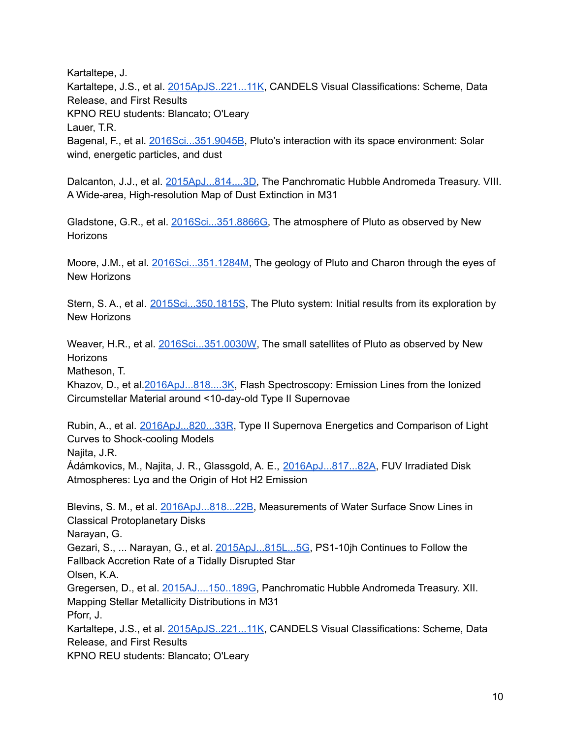Kartaltepe, J.

Kartaltepe, J.S., et al. [2015ApJS..221...11K](http://adsabs.harvard.edu/abs/2015ApJS..221...11K), CANDELS Visual Classifications: Scheme, Data Release, and First Results KPNO REU students: Blancato; O'Leary Lauer, T.R. Bagenal, F., et al. [2016Sci...351.9045B](http://adsabs.harvard.edu/abs/2016Sci...351.9045B), Pluto's interaction with its space environment: Solar wind, energetic particles, and dust

Dalcanton, J.J., et al. [2015ApJ...814....3D,](http://adsabs.harvard.edu/abs/2015ApJ...814....3D) The Panchromatic Hubble Andromeda Treasury. VIII. A Wide-area, High-resolution Map of Dust Extinction in M31

Gladstone, G.R., et al. [2016Sci...351.8866G](http://adsabs.harvard.edu/abs/2016Sci...351.8866G), The atmosphere of Pluto as observed by New **Horizons** 

Moore, J.M., et al. [2016Sci...351.1284M,](http://adsabs.harvard.edu/abs/2016Sci...351.1284M) The geology of Pluto and Charon through the eyes of New Horizons

Stern, S. A., et al. [2015Sci...350.1815S](http://adsabs.harvard.edu/abs/2015Sci...350.1815S), The Pluto system: Initial results from its exploration by New Horizons

Weaver, H.R., et al. [2016Sci...351.0030W](http://adsabs.harvard.edu/abs/2016Sci...351.0030W), The small satellites of Pluto as observed by New **Horizons** 

Matheson, T.

Khazov, D., et al.[2016ApJ...818....3K](http://adsabs.harvard.edu/abs/2016ApJ...818....3K), Flash Spectroscopy: Emission Lines from the Ionized Circumstellar Material around <10-day-old Type II Supernovae

Rubin, A., et al. [2016ApJ...820...33R](http://adsabs.harvard.edu/abs/2016ApJ...820...33R), Type II Supernova Energetics and Comparison of Light Curves to Shock-cooling Models

Najita, J.R.

Ádámkovics, M., Najita, J. R., Glassgold, A. E., [2016ApJ...817...82A](http://adsabs.harvard.edu/abs/2016ApJ...817...82A), FUV Irradiated Disk Atmospheres: Lyα and the Origin of Hot H2 Emission

Blevins, S. M., et al. [2016ApJ...818...22B,](http://adsabs.harvard.edu/abs/2016ApJ...818...22B) Measurements of Water Surface Snow Lines in Classical Protoplanetary Disks

Narayan, G.

Gezari, S., ... Narayan, G., et al. [2015ApJ...815L...5G](http://adsabs.harvard.edu/abs/2015ApJ...815L...5G), PS1-10jh Continues to Follow the Fallback Accretion Rate of a Tidally Disrupted Star

Olsen, K.A.

Gregersen, D., et al. [2015AJ....150..189G,](http://adsabs.harvard.edu/abs/2015AJ....150..189G) Panchromatic Hubble Andromeda Treasury. XII. Mapping Stellar Metallicity Distributions in M31 Pforr, J.

Kartaltepe, J.S., et al. [2015ApJS..221...11K](http://adsabs.harvard.edu/abs/2015ApJS..221...11K), CANDELS Visual Classifications: Scheme, Data Release, and First Results

KPNO REU students: Blancato; O'Leary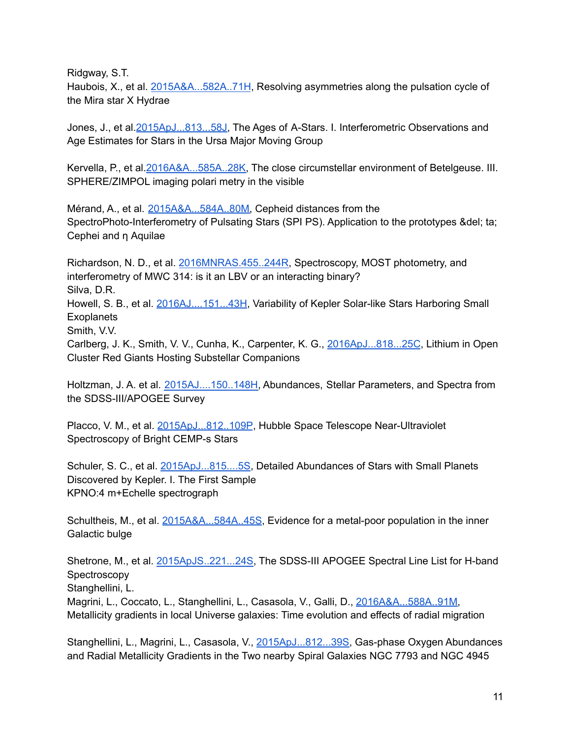Ridgway, S.T.

Haubois, X., et al. [2015A&A...582A..71H](http://adsabs.harvard.edu/abs/2015A%26A...582A..71H), Resolving asymmetries along the pulsation cycle of the Mira star X Hydrae

Jones, J., et al. [2015ApJ...813...58J,](http://adsabs.harvard.edu/abs/2015ApJ...813...58J) The Ages of A-Stars. I. Interferometric Observations and Age Estimates for Stars in the Ursa Major Moving Group

Kervella, P., et al. [2016A&A...585A..28K,](http://adsabs.harvard.edu/abs/2016A%26A...585A..28K) The close circumstellar environment of Betelgeuse. III. SPHERE/ZIMPOL imaging polari metry in the visible

Mérand, A., et al. [2015A&A...584A..80M,](http://adsabs.harvard.edu/abs/2015A%26A...584A..80M) Cepheid distances from the SpectroPhoto-Interferometry of Pulsating Stars (SPI PS). Application to the prototypes &del; ta; Cephei and η Aquilae

Richardson, N. D., et al. [2016MNRAS.455..244R,](http://adsabs.harvard.edu/abs/2016MNRAS.455..244R) Spectroscopy, MOST photometry, and interferometry of MWC 314: is it an LBV or an interacting binary? Silva, D.R.

Howell, S. B., et al. [2016AJ....151...43H](http://adsabs.harvard.edu/abs/2016AJ....151...43H), Variability of Kepler Solar-like Stars Harboring Small **Exoplanets** 

Smith, V.V.

Carlberg, J. K., Smith, V. V., Cunha, K., Carpenter, K. G., [2016ApJ...818...25C](http://adsabs.harvard.edu/abs/2016ApJ...818...25C), Lithium in Open Cluster Red Giants Hosting Substellar Companions

Holtzman, J. A. et al. [2015AJ....150..148H,](http://adsabs.harvard.edu/abs/2015AJ....150..148H) Abundances, Stellar Parameters, and Spectra from the SDSS-III/APOGEE Survey

Placco, V. M., et al. [2015ApJ...812..109P](http://adsabs.harvard.edu/abs/2015ApJ...812..109P), Hubble Space Telescope Near-Ultraviolet Spectroscopy of Bright CEMP-s Stars

Schuler, S. C., et al. [2015ApJ...815....5S,](http://adsabs.harvard.edu/abs/2015ApJ...815....5S) Detailed Abundances of Stars with Small Planets Discovered by Kepler. I. The First Sample KPNO:4 m+Echelle spectrograph

Schultheis, M., et al. [2015A&A...584A..45S,](http://adsabs.harvard.edu/abs/2015A%26A...584A..45S) Evidence for a metal-poor population in the inner Galactic bulge

Shetrone, M., et al. [2015ApJS..221...24S,](http://adsabs.harvard.edu/abs/2015ApJS..221...24S) The SDSS-III APOGEE Spectral Line List for H-band Spectroscopy

Stanghellini, L.

Magrini, L., Coccato, L., Stanghellini, L., Casasola, V., Galli, D., [2016A&A...588A..91M,](http://adsabs.harvard.edu/abs/2016A%26A...588A..91M) Metallicity gradients in local Universe galaxies: Time evolution and effects of radial migration

Stanghellini, L., Magrini, L., Casasola, V., [2015ApJ...812...39S,](http://adsabs.harvard.edu/abs/2015ApJ...812...39S) Gas-phase Oxygen Abundances and Radial Metallicity Gradients in the Two nearby Spiral Galaxies NGC 7793 and NGC 4945